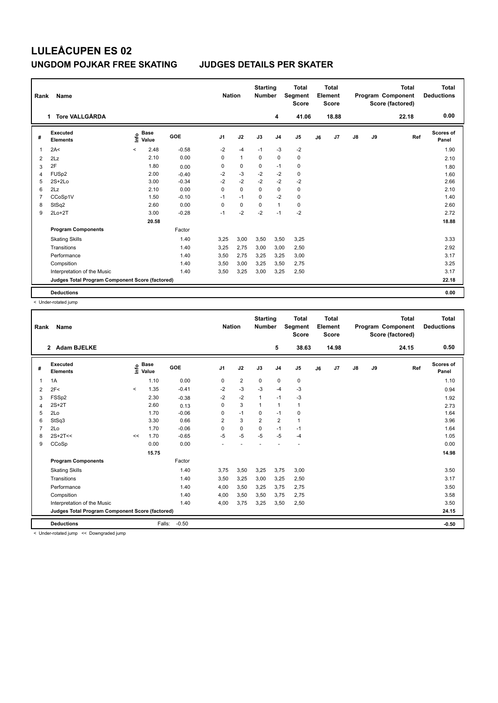# **LULEÅCUPEN ES 02 UNGDOM POJKAR FREE SKATING JUDGES DETAILS PER SKATER**

| Rank<br><b>Name</b> |                                                 |                              |         |                | <b>Nation</b> |             | <b>Starting</b><br><b>Number</b> | Total<br>Segment<br><b>Score</b> | Total<br>Element<br>Score |                |               |    | <b>Total</b><br>Program Component<br>Score (factored) | Total<br><b>Deductions</b> |
|---------------------|-------------------------------------------------|------------------------------|---------|----------------|---------------|-------------|----------------------------------|----------------------------------|---------------------------|----------------|---------------|----|-------------------------------------------------------|----------------------------|
|                     | <b>Tore VALLGÅRDA</b><br>1                      |                              |         |                |               |             | 4                                | 41.06                            |                           | 18.88          |               |    | 22.18                                                 | 0.00                       |
| #                   | Executed<br><b>Elements</b>                     | <b>Base</b><br>١nf٥<br>Value | GOE     | J <sub>1</sub> | J2            | J3          | J <sub>4</sub>                   | J <sub>5</sub>                   | J6                        | J <sub>7</sub> | $\mathsf{J}8$ | J9 | Ref                                                   | <b>Scores of</b><br>Panel  |
| $\overline{1}$      | 2A<                                             | 2.48<br>$\prec$              | $-0.58$ | $-2$           | $-4$          | $-1$        | -3                               | $-2$                             |                           |                |               |    |                                                       | 1.90                       |
| 2                   | 2Lz                                             | 2.10                         | 0.00    | $\Omega$       | $\mathbf{1}$  | $\Omega$    | $\mathbf 0$                      | $\mathbf 0$                      |                           |                |               |    |                                                       | 2.10                       |
| 3                   | 2F                                              | 1.80                         | 0.00    | 0              | $\pmb{0}$     | $\mathbf 0$ | $-1$                             | 0                                |                           |                |               |    |                                                       | 1.80                       |
| 4                   | FUSp2                                           | 2.00                         | $-0.40$ | $-2$           | $-3$          | $-2$        | $-2$                             | $\pmb{0}$                        |                           |                |               |    |                                                       | 1.60                       |
| 5                   | $2S+2Lo$                                        | 3.00                         | $-0.34$ | $-2$           | $-2$          | $-2$        | $-2$                             | $-2$                             |                           |                |               |    |                                                       | 2.66                       |
| 6                   | 2Lz                                             | 2.10                         | 0.00    | $\mathbf 0$    | $\mathbf 0$   | $\mathbf 0$ | $\mathbf 0$                      | $\mathbf 0$                      |                           |                |               |    |                                                       | 2.10                       |
| $\overline{7}$      | CCoSp1V                                         | 1.50                         | $-0.10$ | $-1$           | $-1$          | $\mathbf 0$ | $-2$                             | 0                                |                           |                |               |    |                                                       | 1.40                       |
| 8                   | StSq2                                           | 2.60                         | 0.00    | 0              | 0             | 0           | $\mathbf{1}$                     | 0                                |                           |                |               |    |                                                       | 2.60                       |
| 9                   | $2Lo+2T$                                        | 3.00                         | $-0.28$ | $-1$           | $-2$          | $-2$        | $-1$                             | $-2$                             |                           |                |               |    |                                                       | 2.72                       |
|                     |                                                 | 20.58                        |         |                |               |             |                                  |                                  |                           |                |               |    |                                                       | 18.88                      |
|                     | <b>Program Components</b>                       |                              | Factor  |                |               |             |                                  |                                  |                           |                |               |    |                                                       |                            |
|                     | <b>Skating Skills</b>                           |                              | 1.40    | 3,25           | 3,00          | 3,50        | 3,50                             | 3,25                             |                           |                |               |    |                                                       | 3.33                       |
|                     | Transitions                                     |                              | 1.40    | 3,25           | 2,75          | 3,00        | 3,00                             | 2,50                             |                           |                |               |    |                                                       | 2.92                       |
|                     | Performance                                     |                              | 1.40    | 3,50           | 2,75          | 3,25        | 3,25                             | 3,00                             |                           |                |               |    |                                                       | 3.17                       |
|                     | Compsition                                      |                              | 1.40    | 3,50           | 3,00          | 3,25        | 3,50                             | 2,75                             |                           |                |               |    |                                                       | 3.25                       |
|                     | Interpretation of the Music                     |                              | 1.40    | 3,50           | 3,25          | 3,00        | 3,25                             | 2,50                             |                           |                |               |    |                                                       | 3.17                       |
|                     | Judges Total Program Component Score (factored) |                              |         |                |               |             |                                  |                                  |                           |                |               |    |                                                       | 22.18                      |
|                     | <b>Deductions</b>                               |                              |         |                |               |             |                                  |                                  |                           |                |               |    |                                                       | 0.00                       |

< Under-rotated jump

| Rank           | Name                                                                       |         |                                  |         | <b>Nation</b>  |                | <b>Starting</b><br><b>Number</b> |                | <b>Total</b><br>Segment<br><b>Score</b> |    | <b>Total</b><br>Element<br><b>Score</b> |               |    | <b>Total</b><br>Program Component<br>Score (factored) | <b>Total</b><br><b>Deductions</b> |
|----------------|----------------------------------------------------------------------------|---------|----------------------------------|---------|----------------|----------------|----------------------------------|----------------|-----------------------------------------|----|-----------------------------------------|---------------|----|-------------------------------------------------------|-----------------------------------|
|                | 2 Adam BJELKE                                                              |         |                                  |         |                |                |                                  | 5              | 38.63                                   |    | 14.98                                   |               |    | 24.15                                                 | 0.50                              |
| #              | Executed<br><b>Elements</b>                                                |         | <b>Base</b><br>e Base<br>⊆ Value | GOE     | J <sub>1</sub> | J2             | J3                               | J <sub>4</sub> | J <sub>5</sub>                          | J6 | J <sub>7</sub>                          | $\mathsf{J}8$ | J9 | Ref                                                   | <b>Scores of</b><br>Panel         |
| 1              | 1A                                                                         |         | 1.10                             | 0.00    | 0              | $\overline{2}$ | $\mathbf 0$                      | 0              | 0                                       |    |                                         |               |    |                                                       | 1.10                              |
| $\overline{2}$ | 2F<                                                                        | $\prec$ | 1.35                             | $-0.41$ | $-2$           | $-3$           | $-3$                             | $-4$           | $-3$                                    |    |                                         |               |    |                                                       | 0.94                              |
| 3              | FSSp2                                                                      |         | 2.30                             | $-0.38$ | $-2$           | $-2$           | $\mathbf{1}$                     | $-1$           | $-3$                                    |    |                                         |               |    |                                                       | 1.92                              |
| $\overline{4}$ | $2S+2T$                                                                    |         | 2.60                             | 0.13    | 0              | 3              | $\mathbf{1}$                     | $\mathbf{1}$   | 1                                       |    |                                         |               |    |                                                       | 2.73                              |
| 5              | 2Lo                                                                        |         | 1.70                             | $-0.06$ | 0              | $-1$           | 0                                | $-1$           | 0                                       |    |                                         |               |    |                                                       | 1.64                              |
| 6              | StSq3                                                                      |         | 3.30                             | 0.66    | 2              | 3              | $\overline{2}$                   | $\overline{2}$ | $\mathbf{1}$                            |    |                                         |               |    |                                                       | 3.96                              |
| $\overline{7}$ | 2Lo                                                                        |         | 1.70                             | $-0.06$ | 0              | $\mathbf 0$    | $\mathbf 0$                      | $-1$           | $-1$                                    |    |                                         |               |    |                                                       | 1.64                              |
| 8              | $2S+2T<<$                                                                  | <<      | 1.70                             | $-0.65$ | $-5$           | $-5$           | $-5$                             | $-5$           | $-4$                                    |    |                                         |               |    |                                                       | 1.05                              |
| 9              | CCoSp                                                                      |         | 0.00                             | 0.00    |                |                |                                  |                |                                         |    |                                         |               |    |                                                       | 0.00                              |
|                |                                                                            |         | 15.75                            |         |                |                |                                  |                |                                         |    |                                         |               |    |                                                       | 14.98                             |
|                | <b>Program Components</b>                                                  |         |                                  | Factor  |                |                |                                  |                |                                         |    |                                         |               |    |                                                       |                                   |
|                | <b>Skating Skills</b>                                                      |         |                                  | 1.40    | 3,75           | 3,50           | 3,25                             | 3,75           | 3,00                                    |    |                                         |               |    |                                                       | 3.50                              |
|                | Transitions                                                                |         |                                  | 1.40    | 3,50           | 3,25           | 3,00                             | 3,25           | 2,50                                    |    |                                         |               |    |                                                       | 3.17                              |
|                | Performance                                                                |         |                                  | 1.40    | 4,00           | 3,50           | 3,25                             | 3,75           | 2,75                                    |    |                                         |               |    |                                                       | 3.50                              |
|                | Compsition                                                                 |         |                                  | 1.40    | 4,00           | 3,50           | 3,50                             | 3,75           | 2,75                                    |    |                                         |               |    |                                                       | 3.58                              |
|                | Interpretation of the Music                                                |         |                                  | 1.40    | 4,00           | 3,75           | 3,25                             | 3,50           | 2,50                                    |    |                                         |               |    |                                                       | 3.50                              |
|                | Judges Total Program Component Score (factored)                            |         |                                  |         |                |                |                                  |                |                                         |    |                                         |               |    |                                                       | 24.15                             |
|                | <b>Deductions</b><br>$\sim$ $\sim$ $\sim$ $\sim$ $\sim$ $\sim$ $\sim$<br>. |         | Falls:                           | $-0.50$ |                |                |                                  |                |                                         |    |                                         |               |    |                                                       | $-0.50$                           |

< Under-rotated jump << Downgraded jump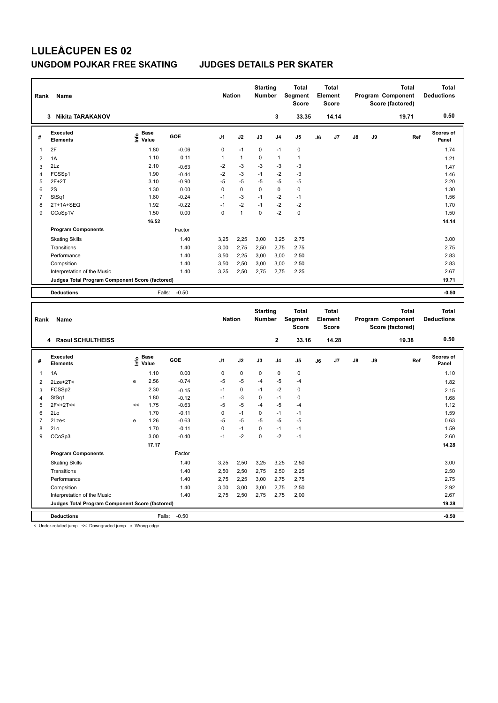# **LULEÅCUPEN ES 02 UNGDOM POJKAR FREE SKATING JUDGES DETAILS PER SKATER**

| Rank           | Name                                            |                                    |            |                | <b>Nation</b>  | <b>Starting</b><br><b>Number</b> |                | <b>Total</b><br>Segment<br>Score | <b>Total</b><br>Element<br><b>Score</b> |               |    | <b>Total</b><br>Program Component<br>Score (factored) | <b>Total</b><br><b>Deductions</b> |
|----------------|-------------------------------------------------|------------------------------------|------------|----------------|----------------|----------------------------------|----------------|----------------------------------|-----------------------------------------|---------------|----|-------------------------------------------------------|-----------------------------------|
|                | <b>Nikita TARAKANOV</b><br>3.                   |                                    |            |                |                |                                  | 3              | 33.35                            | 14.14                                   |               |    | 19.71                                                 | 0.50                              |
| #              | Executed<br><b>Elements</b>                     | <b>Base</b><br>$\frac{6}{5}$ Value | <b>GOE</b> | J <sub>1</sub> | J2             | J3                               | J <sub>4</sub> | J <sub>5</sub>                   | J7<br>J6                                | $\mathsf{J}8$ | J9 | Ref                                                   | Scores of<br>Panel                |
| 1              | 2F                                              | 1.80                               | $-0.06$    | 0              | $-1$           | 0                                | $-1$           | 0                                |                                         |               |    |                                                       | 1.74                              |
| $\overline{2}$ | 1A                                              | 1.10                               | 0.11       | 1              | $\mathbf{1}$   | $\Omega$                         | $\overline{1}$ | $\mathbf{1}$                     |                                         |               |    |                                                       | 1.21                              |
| 3              | 2Lz                                             | 2.10                               | $-0.63$    | $-2$           | $-3$           | $-3$                             | $-3$           | -3                               |                                         |               |    |                                                       | 1.47                              |
| 4              | FCSSp1                                          | 1.90                               | $-0.44$    | $-2$           | $-3$           | $-1$                             | $-2$           | $-3$                             |                                         |               |    |                                                       | 1.46                              |
| 5              | $2F+2T$                                         | 3.10                               | $-0.90$    | $-5$           | $-5$           | $-5$                             | $-5$           | $-5$                             |                                         |               |    |                                                       | 2.20                              |
| 6              | 2S                                              | 1.30                               | 0.00       | 0              | $\Omega$       | $\Omega$                         | $\mathbf 0$    | $\mathbf 0$                      |                                         |               |    |                                                       | 1.30                              |
| 7              | StSq1                                           | 1.80                               | $-0.24$    | $-1$           | $-3$           | $-1$                             | $-2$           | $-1$                             |                                         |               |    |                                                       | 1.56                              |
| 8              | 2T+1A+SEQ                                       | 1.92                               | $-0.22$    | $-1$           | $-2$           | $-1$                             | $-2$           | $-2$                             |                                         |               |    |                                                       | 1.70                              |
| 9              | CCoSp1V                                         | 1.50                               | 0.00       | 0              | $\overline{1}$ | $\Omega$                         | $-2$           | $\pmb{0}$                        |                                         |               |    |                                                       | 1.50                              |
|                |                                                 | 16.52                              |            |                |                |                                  |                |                                  |                                         |               |    |                                                       | 14.14                             |
|                | <b>Program Components</b>                       |                                    | Factor     |                |                |                                  |                |                                  |                                         |               |    |                                                       |                                   |
|                | <b>Skating Skills</b>                           |                                    | 1.40       | 3,25           | 2,25           | 3,00                             | 3,25           | 2,75                             |                                         |               |    |                                                       | 3.00                              |
|                | Transitions                                     |                                    | 1.40       | 3,00           | 2,75           | 2,50                             | 2,75           | 2,75                             |                                         |               |    |                                                       | 2.75                              |
|                | Performance                                     |                                    | 1.40       | 3,50           | 2,25           | 3,00                             | 3,00           | 2,50                             |                                         |               |    |                                                       | 2.83                              |
|                | Compsition                                      |                                    | 1.40       | 3,50           | 2,50           | 3,00                             | 3,00           | 2,50                             |                                         |               |    |                                                       | 2.83                              |
|                | Interpretation of the Music                     |                                    | 1.40       | 3,25           | 2,50           | 2,75                             | 2,75           | 2,25                             |                                         |               |    |                                                       | 2.67                              |
|                | Judges Total Program Component Score (factored) |                                    |            |                |                |                                  |                |                                  |                                         |               |    |                                                       | 19.71                             |
|                | <b>Deductions</b>                               | Falls:                             | $-0.50$    |                |                |                                  |                |                                  |                                         |               |    |                                                       | $-0.50$                           |
|                |                                                 |                                    |            |                |                |                                  |                |                                  |                                         |               |    |                                                       |                                   |
| Rank           | Name                                            |                                    |            |                | <b>Nation</b>  | <b>Starting</b><br><b>Number</b> |                | <b>Total</b><br>Segment<br>Score | <b>Total</b><br>Element<br><b>Score</b> |               |    | <b>Total</b><br>Program Component<br>Score (factored) | <b>Total</b><br><b>Deductions</b> |
|                | <b>Raoul SCHULTHEISS</b><br>4                   |                                    |            |                |                |                                  | $\mathbf{2}$   | 33.16                            | 14.28                                   |               |    | 19.38                                                 | 0.50                              |

| #              | Executed<br><b>Elements</b>                     |    | <b>Base</b><br>o Base<br>⊆ Value | <b>GOE</b> | J <sub>1</sub> | J2          | J3   | J <sub>4</sub> | J <sub>5</sub> | J6 | J7 | $\mathsf{J}8$ | J9 | Ref | <b>Scores of</b><br>Panel |
|----------------|-------------------------------------------------|----|----------------------------------|------------|----------------|-------------|------|----------------|----------------|----|----|---------------|----|-----|---------------------------|
| 1              | 1A                                              |    | 1.10                             | 0.00       | 0              | $\mathbf 0$ | 0    | 0              | 0              |    |    |               |    |     | 1.10                      |
| $\overline{2}$ | $2Lze+2T2$                                      | е  | 2.56                             | $-0.74$    | $-5$           | $-5$        | $-4$ | $-5$           | $-4$           |    |    |               |    |     | 1.82                      |
| 3              | FCSSp2                                          |    | 2.30                             | $-0.15$    | $-1$           | $\mathbf 0$ | $-1$ | $-2$           | 0              |    |    |               |    |     | 2.15                      |
| $\overline{4}$ | StSq1                                           |    | 1.80                             | $-0.12$    | $-1$           | $-3$        | 0    | $-1$           | 0              |    |    |               |    |     | 1.68                      |
| 5              | $2F<+2T<<$                                      | << | 1.75                             | $-0.63$    | $-5$           | $-5$        | $-4$ | $-5$           | $-4$           |    |    |               |    |     | 1.12                      |
| 6              | 2Lo                                             |    | 1.70                             | $-0.11$    | 0              | $-1$        | 0    | $-1$           | $-1$           |    |    |               |    |     | 1.59                      |
| $\overline{7}$ | 2Lze<                                           | e  | 1.26                             | $-0.63$    | $-5$           | $-5$        | $-5$ | $-5$           | $-5$           |    |    |               |    |     | 0.63                      |
| 8              | 2Lo                                             |    | 1.70                             | $-0.11$    | 0              | $-1$        | 0    | $-1$           | $-1$           |    |    |               |    |     | 1.59                      |
| 9              | CCoSp3                                          |    | 3.00                             | $-0.40$    | $-1$           | $-2$        | 0    | $-2$           | $-1$           |    |    |               |    |     | 2.60                      |
|                |                                                 |    | 17.17                            |            |                |             |      |                |                |    |    |               |    |     | 14.28                     |
|                | <b>Program Components</b>                       |    |                                  | Factor     |                |             |      |                |                |    |    |               |    |     |                           |
|                | <b>Skating Skills</b>                           |    |                                  | 1.40       | 3,25           | 2,50        | 3,25 | 3,25           | 2,50           |    |    |               |    |     | 3.00                      |
|                | Transitions                                     |    |                                  | 1.40       | 2,50           | 2,50        | 2,75 | 2,50           | 2,25           |    |    |               |    |     | 2.50                      |
|                | Performance                                     |    |                                  | 1.40       | 2,75           | 2,25        | 3,00 | 2,75           | 2,75           |    |    |               |    |     | 2.75                      |
|                | Compsition                                      |    |                                  | 1.40       | 3,00           | 3,00        | 3,00 | 2,75           | 2,50           |    |    |               |    |     | 2.92                      |
|                | Interpretation of the Music                     |    |                                  | 1.40       | 2,75           | 2,50        | 2,75 | 2,75           | 2,00           |    |    |               |    |     | 2.67                      |
|                | Judges Total Program Component Score (factored) |    |                                  |            |                |             |      |                |                |    |    |               |    |     | 19.38                     |
|                | <b>Deductions</b>                               |    | Falls:                           | $-0.50$    |                |             |      |                |                |    |    |               |    |     | $-0.50$                   |

< Under-rotated jump << Downgraded jump e Wrong edge